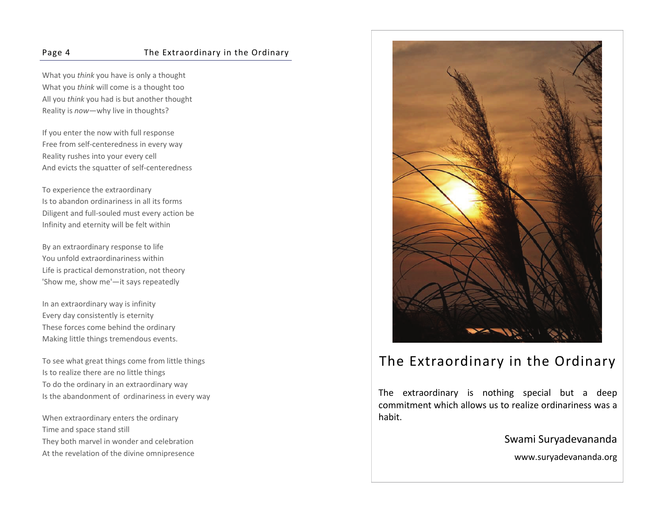What you *think* you have is only <sup>a</sup> thought What you *think* will come is <sup>a</sup> thought too All you *think* you had is but another thought Reality is *now*—why live in thoughts?

If you enter the now with full response Free from self‐centeredness in every way Reality rushes into your every cell And evicts the squatter of self‐centeredness

To experience the extraordinary Is to abandon ordinariness in all its forms Diligent and full‐souled must every action be Infinity and eternity will be felt within

By an extraordinary response to life You unfold extraordinariness within Life is practical demonstration, not theory 'Show me, show me'—it says repeatedly

In an extraordinary way is infinity Every day consistently is eternity These forces come behind the ordinary Making little things tremendous events.

To see what great things come from little things Is to realize there are no little things To do the ordinary in an extraordinary way Is the abandonment of ordinariness in every way

When extraordinary enters the ordinary Time and space stand still They both marvel in wonder and celebration At the revelation of the divine omnipresence



## The Extraordinary in the Ordinary

The extraordinary is nothing special but <sup>a</sup> deep commitment which allows us to realize ordinariness was <sup>a</sup> habit.

Swami Suryadevananda

www.suryadevananda.org